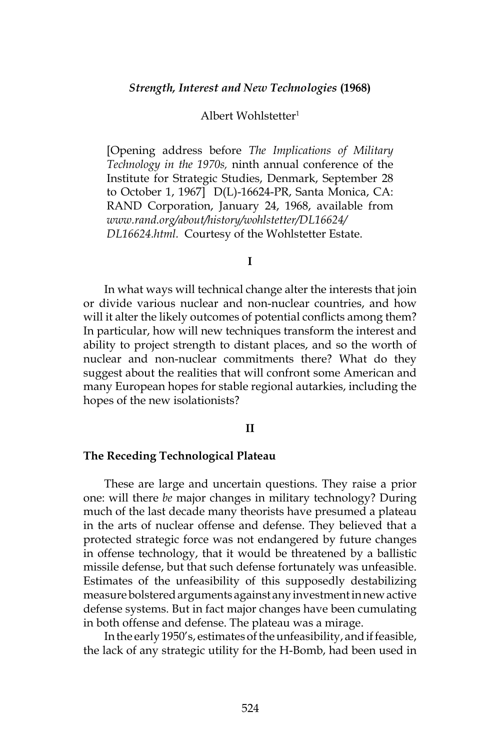# Albert Wohlstetter1

[Opening address before *The Implications of Military Technology in the 1970s,* ninth annual conference of the Institute for Strategic Studies, Denmark, September 28 to October 1, 1967] D(L)-16624-PR, Santa Monica, CA: RAND Corporation, January 24, 1968, available from *www.rand.org/about/history/wohlstetter/DL16624/ DL16624.html.* Courtesy of the Wohlstetter Estate.

# **I**

In what ways will technical change alter the interests that join or divide various nuclear and non-nuclear countries, and how will it alter the likely outcomes of potential conflicts among them? In particular, how will new techniques transform the interest and ability to project strength to distant places, and so the worth of nuclear and non-nuclear commitments there? What do they suggest about the realities that will confront some American and many European hopes for stable regional autarkies, including the hopes of the new isolationists?

#### **II**

## **The Receding Technological Plateau**

These are large and uncertain questions. They raise a prior one: will there *be* major changes in military technology? During much of the last decade many theorists have presumed a plateau in the arts of nuclear offense and defense. They believed that a protected strategic force was not endangered by future changes in offense technology, that it would be threatened by a ballistic missile defense, but that such defense fortunately was unfeasible. Estimates of the unfeasibility of this supposedly destabilizing measure bolstered arguments against any investment in new active defense systems. But in fact major changes have been cumulating in both offense and defense. The plateau was a mirage.

In the early 1950's, estimates of the unfeasibility, and if feasible, the lack of any strategic utility for the H-Bomb, had been used in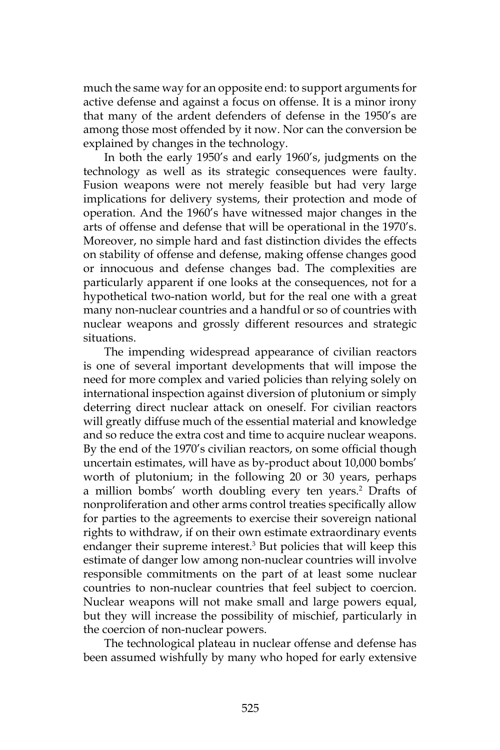much the same way for an opposite end: to support arguments for active defense and against a focus on offense. It is a minor irony that many of the ardent defenders of defense in the 1950's are among those most offended by it now. Nor can the conversion be explained by changes in the technology.

In both the early 1950's and early 1960's, judgments on the technology as well as its strategic consequences were faulty. Fusion weapons were not merely feasible but had very large implications for delivery systems, their protection and mode of operation. And the 1960's have witnessed major changes in the arts of offense and defense that will be operational in the 1970's. Moreover, no simple hard and fast distinction divides the effects on stability of offense and defense, making offense changes good or innocuous and defense changes bad. The complexities are particularly apparent if one looks at the consequences, not for a hypothetical two-nation world, but for the real one with a great many non-nuclear countries and a handful or so of countries with nuclear weapons and grossly different resources and strategic situations.

The impending widespread appearance of civilian reactors is one of several important developments that will impose the need for more complex and varied policies than relying solely on international inspection against diversion of plutonium or simply deterring direct nuclear attack on oneself. For civilian reactors will greatly diffuse much of the essential material and knowledge and so reduce the extra cost and time to acquire nuclear weapons. By the end of the 1970's civilian reactors, on some official though uncertain estimates, will have as by-product about 10,000 bombs' worth of plutonium; in the following 20 or 30 years, perhaps a million bombs' worth doubling every ten years.2 Drafts of nonproliferation and other arms control treaties specifically allow for parties to the agreements to exercise their sovereign national rights to withdraw, if on their own estimate extraordinary events endanger their supreme interest.<sup>3</sup> But policies that will keep this estimate of danger low among non-nuclear countries will involve responsible commitments on the part of at least some nuclear countries to non-nuclear countries that feel subject to coercion. Nuclear weapons will not make small and large powers equal, but they will increase the possibility of mischief, particularly in the coercion of non-nuclear powers.

The technological plateau in nuclear offense and defense has been assumed wishfully by many who hoped for early extensive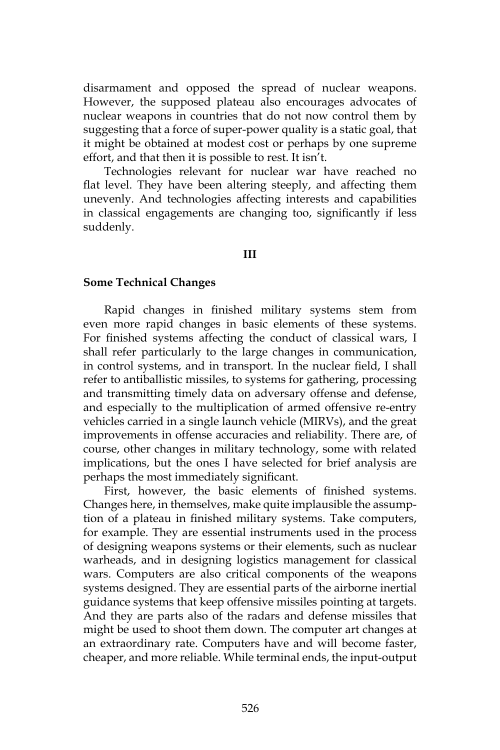disarmament and opposed the spread of nuclear weapons. However, the supposed plateau also encourages advocates of nuclear weapons in countries that do not now control them by suggesting that a force of super-power quality is a static goal, that it might be obtained at modest cost or perhaps by one supreme effort, and that then it is possible to rest. It isn't.

Technologies relevant for nuclear war have reached no flat level. They have been altering steeply, and affecting them unevenly. And technologies affecting interests and capabilities in classical engagements are changing too, significantly if less suddenly.

## **III**

#### **Some Technical Changes**

Rapid changes in finished military systems stem from even more rapid changes in basic elements of these systems. For finished systems affecting the conduct of classical wars, I shall refer particularly to the large changes in communication, in control systems, and in transport. In the nuclear field, I shall refer to antiballistic missiles, to systems for gathering, processing and transmitting timely data on adversary offense and defense, and especially to the multiplication of armed offensive re-entry vehicles carried in a single launch vehicle (MIRVs), and the great improvements in offense accuracies and reliability. There are, of course, other changes in military technology, some with related implications, but the ones I have selected for brief analysis are perhaps the most immediately significant.

First, however, the basic elements of finished systems. Changes here, in themselves, make quite implausible the assumption of a plateau in finished military systems. Take computers, for example. They are essential instruments used in the process of designing weapons systems or their elements, such as nuclear warheads, and in designing logistics management for classical wars. Computers are also critical components of the weapons systems designed. They are essential parts of the airborne inertial guidance systems that keep offensive missiles pointing at targets. And they are parts also of the radars and defense missiles that might be used to shoot them down. The computer art changes at an extraordinary rate. Computers have and will become faster, cheaper, and more reliable. While terminal ends, the input-output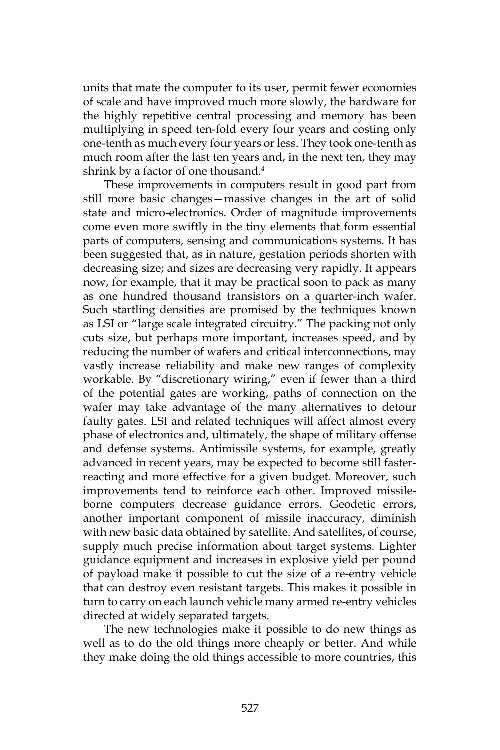units that mate the computer to its user, permit fewer economies of scale and have improved much more slowly, the hardware for the highly repetitive central processing and memory has been multiplying in speed ten-fold every four years and costing only one-tenth as much every four years or less. They took one-tenth as much room after the last ten years and, in the next ten, they may shrink by a factor of one thousand.<sup>4</sup>

These improvements in computers result in good part from still more basic changes—massive changes in the art of solid state and micro-electronics. Order of magnitude improvements come even more swiftly in the tiny elements that form essential parts of computers, sensing and communications systems. It has been suggested that, as in nature, gestation periods shorten with decreasing size; and sizes are decreasing very rapidly. It appears now, for example, that it may be practical soon to pack as many as one hundred thousand transistors on a quarter-inch wafer. Such startling densities are promised by the techniques known as LSI or "large scale integrated circuitry." The packing not only cuts size, but perhaps more important, increases speed, and by reducing the number of wafers and critical interconnections, may vastly increase reliability and make new ranges of complexity workable. By "discretionary wiring," even if fewer than a third of the potential gates are working, paths of connection on the wafer may take advantage of the many alternatives to detour faulty gates. LSI and related techniques will affect almost every phase of electronics and, ultimately, the shape of military offense and defense systems. Antimissile systems, for example, greatly advanced in recent years, may be expected to become still fasterreacting and more effective for a given budget. Moreover, such improvements tend to reinforce each other. Improved missileborne computers decrease guidance errors. Geodetic errors, another important component of missile inaccuracy, diminish with new basic data obtained by satellite. And satellites, of course, supply much precise information about target systems. Lighter guidance equipment and increases in explosive yield per pound of payload make it possible to cut the size of a re-entry vehicle that can destroy even resistant targets. This makes it possible in turn to carry on each launch vehicle many armed re-entry vehicles directed at widely separated targets.

The new technologies make it possible to do new things as well as to do the old things more cheaply or better. And while they make doing the old things accessible to more countries, this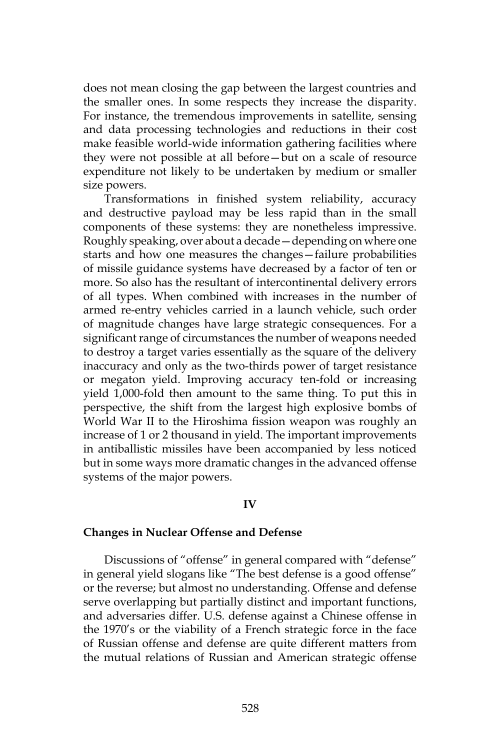does not mean closing the gap between the largest countries and the smaller ones. In some respects they increase the disparity. For instance, the tremendous improvements in satellite, sensing and data processing technologies and reductions in their cost make feasible world-wide information gathering facilities where they were not possible at all before—but on a scale of resource expenditure not likely to be undertaken by medium or smaller size powers.

Transformations in finished system reliability, accuracy and destructive payload may be less rapid than in the small components of these systems: they are nonetheless impressive. Roughly speaking, over about a decade—depending on where one starts and how one measures the changes—failure probabilities of missile guidance systems have decreased by a factor of ten or more. So also has the resultant of intercontinental delivery errors of all types. When combined with increases in the number of armed re-entry vehicles carried in a launch vehicle, such order of magnitude changes have large strategic consequences. For a significant range of circumstances the number of weapons needed to destroy a target varies essentially as the square of the delivery inaccuracy and only as the two-thirds power of target resistance or megaton yield. Improving accuracy ten-fold or increasing yield 1,000-fold then amount to the same thing. To put this in perspective, the shift from the largest high explosive bombs of World War II to the Hiroshima fission weapon was roughly an increase of 1 or 2 thousand in yield. The important improvements in antiballistic missiles have been accompanied by less noticed but in some ways more dramatic changes in the advanced offense systems of the major powers.

## **IV**

## **Changes in Nuclear Offense and Defense**

Discussions of "offense" in general compared with "defense" in general yield slogans like "The best defense is a good offense" or the reverse; but almost no understanding. Offense and defense serve overlapping but partially distinct and important functions, and adversaries differ. U.S. defense against a Chinese offense in the 1970's or the viability of a French strategic force in the face of Russian offense and defense are quite different matters from the mutual relations of Russian and American strategic offense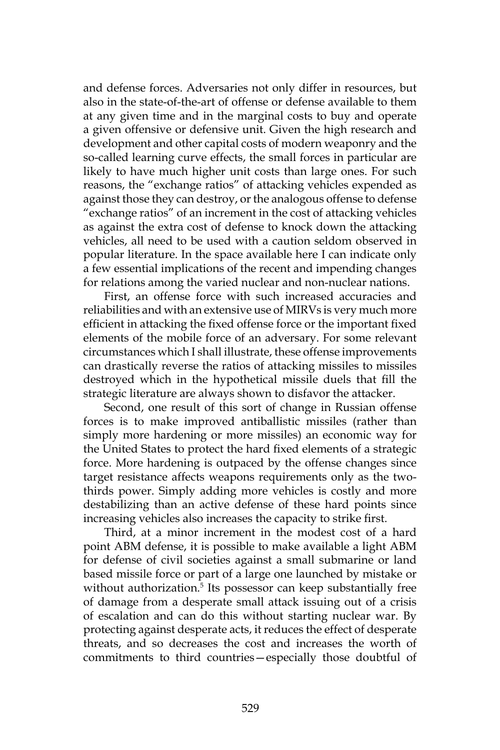and defense forces. Adversaries not only differ in resources, but also in the state-of-the-art of offense or defense available to them at any given time and in the marginal costs to buy and operate a given offensive or defensive unit. Given the high research and development and other capital costs of modern weaponry and the so-called learning curve effects, the small forces in particular are likely to have much higher unit costs than large ones. For such reasons, the "exchange ratios" of attacking vehicles expended as against those they can destroy, or the analogous offense to defense "exchange ratios" of an increment in the cost of attacking vehicles as against the extra cost of defense to knock down the attacking vehicles, all need to be used with a caution seldom observed in popular literature. In the space available here I can indicate only a few essential implications of the recent and impending changes for relations among the varied nuclear and non-nuclear nations.

First, an offense force with such increased accuracies and reliabilities and with an extensive use of MIRVs is very much more efficient in attacking the fixed offense force or the important fixed elements of the mobile force of an adversary. For some relevant circumstances which I shall illustrate, these offense improvements can drastically reverse the ratios of attacking missiles to missiles destroyed which in the hypothetical missile duels that fill the strategic literature are always shown to disfavor the attacker.

Second, one result of this sort of change in Russian offense forces is to make improved antiballistic missiles (rather than simply more hardening or more missiles) an economic way for the United States to protect the hard fixed elements of a strategic force. More hardening is outpaced by the offense changes since target resistance affects weapons requirements only as the twothirds power. Simply adding more vehicles is costly and more destabilizing than an active defense of these hard points since increasing vehicles also increases the capacity to strike first.

Third, at a minor increment in the modest cost of a hard point ABM defense, it is possible to make available a light ABM for defense of civil societies against a small submarine or land based missile force or part of a large one launched by mistake or without authorization.<sup>5</sup> Its possessor can keep substantially free of damage from a desperate small attack issuing out of a crisis of escalation and can do this without starting nuclear war. By protecting against desperate acts, it reduces the effect of desperate threats, and so decreases the cost and increases the worth of commitments to third countries—especially those doubtful of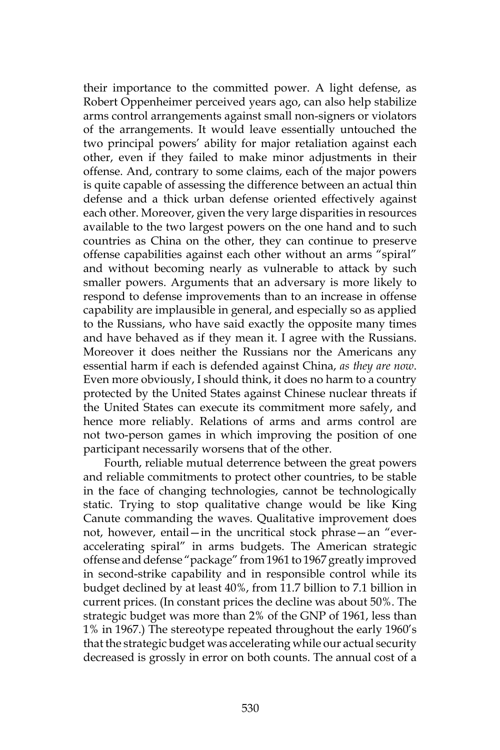their importance to the committed power. A light defense, as Robert Oppenheimer perceived years ago, can also help stabilize arms control arrangements against small non-signers or violators of the arrangements. It would leave essentially untouched the two principal powers' ability for major retaliation against each other, even if they failed to make minor adjustments in their offense. And, contrary to some claims, each of the major powers is quite capable of assessing the difference between an actual thin defense and a thick urban defense oriented effectively against each other. Moreover, given the very large disparities in resources available to the two largest powers on the one hand and to such countries as China on the other, they can continue to preserve offense capabilities against each other without an arms "spiral" and without becoming nearly as vulnerable to attack by such smaller powers. Arguments that an adversary is more likely to respond to defense improvements than to an increase in offense capability are implausible in general, and especially so as applied to the Russians, who have said exactly the opposite many times and have behaved as if they mean it. I agree with the Russians. Moreover it does neither the Russians nor the Americans any essential harm if each is defended against China, *as they are now*. Even more obviously, I should think, it does no harm to a country protected by the United States against Chinese nuclear threats if the United States can execute its commitment more safely, and hence more reliably. Relations of arms and arms control are not two-person games in which improving the position of one participant necessarily worsens that of the other.

Fourth, reliable mutual deterrence between the great powers and reliable commitments to protect other countries, to be stable in the face of changing technologies, cannot be technologically static. Trying to stop qualitative change would be like King Canute commanding the waves. Qualitative improvement does not, however, entail—in the uncritical stock phrase—an "everaccelerating spiral" in arms budgets. The American strategic offense and defense "package" from 1961 to 1967 greatly improved in second-strike capability and in responsible control while its budget declined by at least 40%, from 11.7 billion to 7.1 billion in current prices. (In constant prices the decline was about 50%. The strategic budget was more than 2% of the GNP of 1961, less than 1% in 1967.) The stereotype repeated throughout the early 1960's that the strategic budget was accelerating while our actual security decreased is grossly in error on both counts. The annual cost of a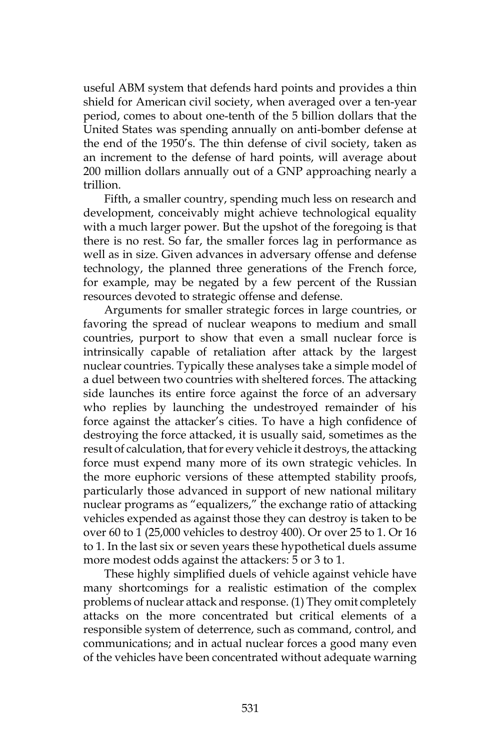useful ABM system that defends hard points and provides a thin shield for American civil society, when averaged over a ten-year period, comes to about one-tenth of the 5 billion dollars that the United States was spending annually on anti-bomber defense at the end of the 1950's. The thin defense of civil society, taken as an increment to the defense of hard points, will average about 200 million dollars annually out of a GNP approaching nearly a trillion.

Fifth, a smaller country, spending much less on research and development, conceivably might achieve technological equality with a much larger power. But the upshot of the foregoing is that there is no rest. So far, the smaller forces lag in performance as well as in size. Given advances in adversary offense and defense technology, the planned three generations of the French force, for example, may be negated by a few percent of the Russian resources devoted to strategic offense and defense.

Arguments for smaller strategic forces in large countries, or favoring the spread of nuclear weapons to medium and small countries, purport to show that even a small nuclear force is intrinsically capable of retaliation after attack by the largest nuclear countries. Typically these analyses take a simple model of a duel between two countries with sheltered forces. The attacking side launches its entire force against the force of an adversary who replies by launching the undestroyed remainder of his force against the attacker's cities. To have a high confidence of destroying the force attacked, it is usually said, sometimes as the result of calculation, that for every vehicle it destroys, the attacking force must expend many more of its own strategic vehicles. In the more euphoric versions of these attempted stability proofs, particularly those advanced in support of new national military nuclear programs as "equalizers," the exchange ratio of attacking vehicles expended as against those they can destroy is taken to be over 60 to 1 (25,000 vehicles to destroy 400). Or over 25 to 1. Or 16 to 1. In the last six or seven years these hypothetical duels assume more modest odds against the attackers: 5 or 3 to 1.

These highly simplified duels of vehicle against vehicle have many shortcomings for a realistic estimation of the complex problems of nuclear attack and response. (1) They omit completely attacks on the more concentrated but critical elements of a responsible system of deterrence, such as command, control, and communications; and in actual nuclear forces a good many even of the vehicles have been concentrated without adequate warning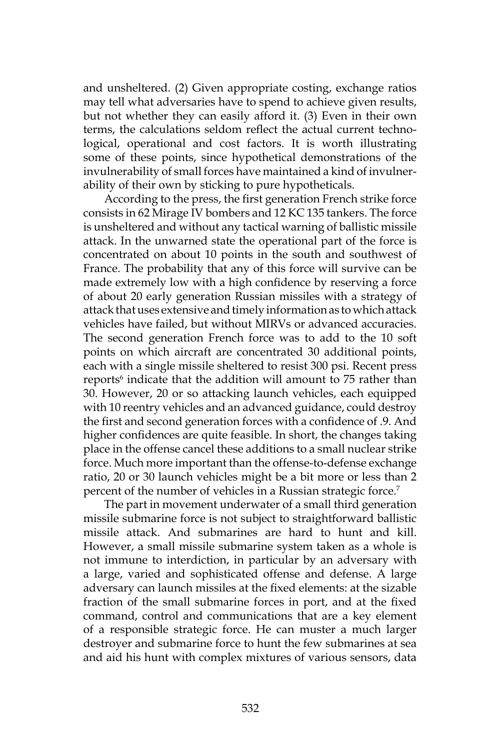and unsheltered. (2) Given appropriate costing, exchange ratios may tell what adversaries have to spend to achieve given results, but not whether they can easily afford it. (3) Even in their own terms, the calculations seldom reflect the actual current technological, operational and cost factors. It is worth illustrating some of these points, since hypothetical demonstrations of the invulnerability of small forces have maintained a kind of invulnerability of their own by sticking to pure hypotheticals.

According to the press, the first generation French strike force consists in 62 Mirage IV bombers and 12 KC 135 tankers. The force is unsheltered and without any tactical warning of ballistic missile attack. In the unwarned state the operational part of the force is concentrated on about 10 points in the south and southwest of France. The probability that any of this force will survive can be made extremely low with a high confidence by reserving a force of about 20 early generation Russian missiles with a strategy of attack that uses extensive and timely information as to which attack vehicles have failed, but without MIRVs or advanced accuracies. The second generation French force was to add to the 10 soft points on which aircraft are concentrated 30 additional points, each with a single missile sheltered to resist 300 psi. Recent press reports<sup>6</sup> indicate that the addition will amount to 75 rather than 30. However, 20 or so attacking launch vehicles, each equipped with 10 reentry vehicles and an advanced guidance, could destroy the first and second generation forces with a confidence of .9. And higher confidences are quite feasible. In short, the changes taking place in the offense cancel these additions to a small nuclear strike force. Much more important than the offense-to-defense exchange ratio, 20 or 30 launch vehicles might be a bit more or less than 2 percent of the number of vehicles in a Russian strategic force.7

The part in movement underwater of a small third generation missile submarine force is not subject to straightforward ballistic missile attack. And submarines are hard to hunt and kill. However, a small missile submarine system taken as a whole is not immune to interdiction, in particular by an adversary with a large, varied and sophisticated offense and defense. A large adversary can launch missiles at the fixed elements: at the sizable fraction of the small submarine forces in port, and at the fixed command, control and communications that are a key element of a responsible strategic force. He can muster a much larger destroyer and submarine force to hunt the few submarines at sea and aid his hunt with complex mixtures of various sensors, data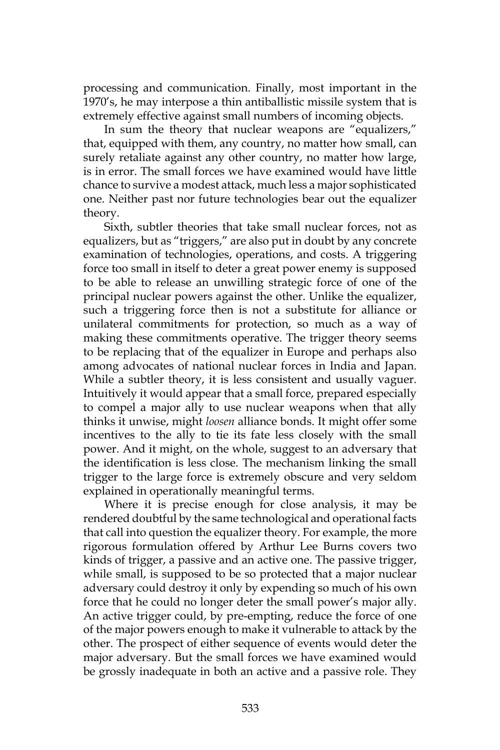processing and communication. Finally, most important in the 1970's, he may interpose a thin antiballistic missile system that is extremely effective against small numbers of incoming objects.

In sum the theory that nuclear weapons are "equalizers," that, equipped with them, any country, no matter how small, can surely retaliate against any other country, no matter how large, is in error. The small forces we have examined would have little chance to survive a modest attack, much less a major sophisticated one. Neither past nor future technologies bear out the equalizer theory.

Sixth, subtler theories that take small nuclear forces, not as equalizers, but as "triggers," are also put in doubt by any concrete examination of technologies, operations, and costs. A triggering force too small in itself to deter a great power enemy is supposed to be able to release an unwilling strategic force of one of the principal nuclear powers against the other. Unlike the equalizer, such a triggering force then is not a substitute for alliance or unilateral commitments for protection, so much as a way of making these commitments operative. The trigger theory seems to be replacing that of the equalizer in Europe and perhaps also among advocates of national nuclear forces in India and Japan. While a subtler theory, it is less consistent and usually vaguer. Intuitively it would appear that a small force, prepared especially to compel a major ally to use nuclear weapons when that ally thinks it unwise, might *loosen* alliance bonds. It might offer some incentives to the ally to tie its fate less closely with the small power. And it might, on the whole, suggest to an adversary that the identification is less close. The mechanism linking the small trigger to the large force is extremely obscure and very seldom explained in operationally meaningful terms.

Where it is precise enough for close analysis, it may be rendered doubtful by the same technological and operational facts that call into question the equalizer theory. For example, the more rigorous formulation offered by Arthur Lee Burns covers two kinds of trigger, a passive and an active one. The passive trigger, while small, is supposed to be so protected that a major nuclear adversary could destroy it only by expending so much of his own force that he could no longer deter the small power's major ally. An active trigger could, by pre-empting, reduce the force of one of the major powers enough to make it vulnerable to attack by the other. The prospect of either sequence of events would deter the major adversary. But the small forces we have examined would be grossly inadequate in both an active and a passive role. They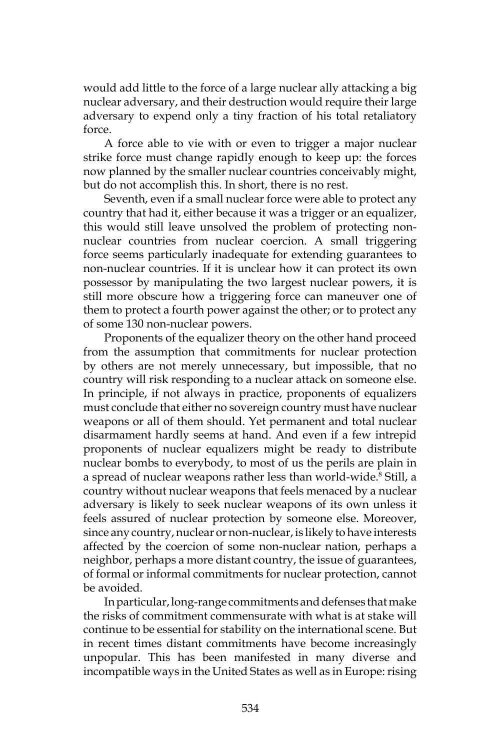would add little to the force of a large nuclear ally attacking a big nuclear adversary, and their destruction would require their large adversary to expend only a tiny fraction of his total retaliatory force.

A force able to vie with or even to trigger a major nuclear strike force must change rapidly enough to keep up: the forces now planned by the smaller nuclear countries conceivably might, but do not accomplish this. In short, there is no rest.

Seventh, even if a small nuclear force were able to protect any country that had it, either because it was a trigger or an equalizer, this would still leave unsolved the problem of protecting nonnuclear countries from nuclear coercion. A small triggering force seems particularly inadequate for extending guarantees to non-nuclear countries. If it is unclear how it can protect its own possessor by manipulating the two largest nuclear powers, it is still more obscure how a triggering force can maneuver one of them to protect a fourth power against the other; or to protect any of some 130 non-nuclear powers.

Proponents of the equalizer theory on the other hand proceed from the assumption that commitments for nuclear protection by others are not merely unnecessary, but impossible, that no country will risk responding to a nuclear attack on someone else. In principle, if not always in practice, proponents of equalizers must conclude that either no sovereign country must have nuclear weapons or all of them should. Yet permanent and total nuclear disarmament hardly seems at hand. And even if a few intrepid proponents of nuclear equalizers might be ready to distribute nuclear bombs to everybody, to most of us the perils are plain in a spread of nuclear weapons rather less than world-wide.<sup>8</sup> Still, a country without nuclear weapons that feels menaced by a nuclear adversary is likely to seek nuclear weapons of its own unless it feels assured of nuclear protection by someone else. Moreover, since any country, nuclear or non-nuclear, is likely to have interests affected by the coercion of some non-nuclear nation, perhaps a neighbor, perhaps a more distant country, the issue of guarantees, of formal or informal commitments for nuclear protection, cannot be avoided.

In particular, long-range commitments and defenses that make the risks of commitment commensurate with what is at stake will continue to be essential for stability on the international scene. But in recent times distant commitments have become increasingly unpopular. This has been manifested in many diverse and incompatible ways in the United States as well as in Europe: rising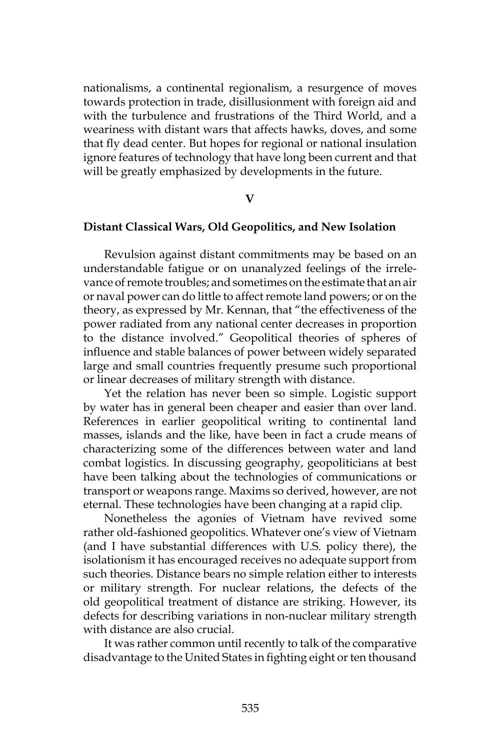nationalisms, a continental regionalism, a resurgence of moves towards protection in trade, disillusionment with foreign aid and with the turbulence and frustrations of the Third World, and a weariness with distant wars that affects hawks, doves, and some that fly dead center. But hopes for regional or national insulation ignore features of technology that have long been current and that will be greatly emphasized by developments in the future.

## **V**

#### **Distant Classical Wars, Old Geopolitics, and New Isolation**

Revulsion against distant commitments may be based on an understandable fatigue or on unanalyzed feelings of the irrelevance of remote troubles; and sometimes on the estimate that an air or naval power can do little to affect remote land powers; or on the theory, as expressed by Mr. Kennan, that "the effectiveness of the power radiated from any national center decreases in proportion to the distance involved." Geopolitical theories of spheres of influence and stable balances of power between widely separated large and small countries frequently presume such proportional or linear decreases of military strength with distance.

Yet the relation has never been so simple. Logistic support by water has in general been cheaper and easier than over land. References in earlier geopolitical writing to continental land masses, islands and the like, have been in fact a crude means of characterizing some of the differences between water and land combat logistics. In discussing geography, geopoliticians at best have been talking about the technologies of communications or transport or weapons range. Maxims so derived, however, are not eternal. These technologies have been changing at a rapid clip.

Nonetheless the agonies of Vietnam have revived some rather old-fashioned geopolitics. Whatever one's view of Vietnam (and I have substantial differences with U.S. policy there), the isolationism it has encouraged receives no adequate support from such theories. Distance bears no simple relation either to interests or military strength. For nuclear relations, the defects of the old geopolitical treatment of distance are striking. However, its defects for describing variations in non-nuclear military strength with distance are also crucial.

It was rather common until recently to talk of the comparative disadvantage to the United States in fighting eight or ten thousand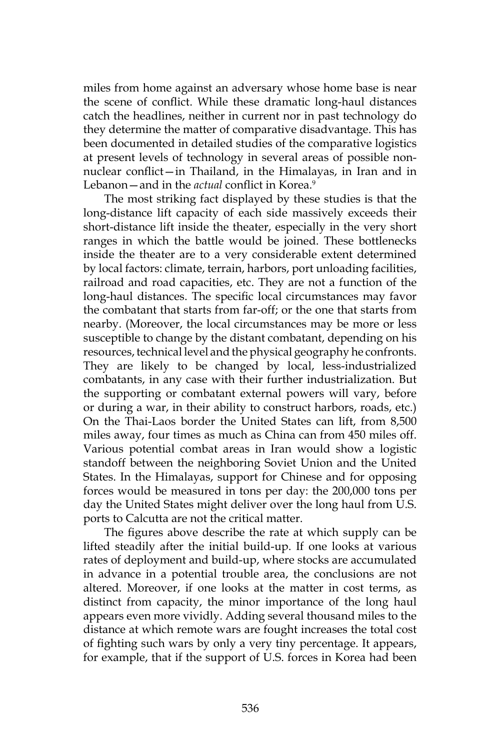miles from home against an adversary whose home base is near the scene of conflict. While these dramatic long-haul distances catch the headlines, neither in current nor in past technology do they determine the matter of comparative disadvantage. This has been documented in detailed studies of the comparative logistics at present levels of technology in several areas of possible nonnuclear conflict—in Thailand, in the Himalayas, in Iran and in Lebanon - and in the *actual* conflict in Korea.<sup>9</sup>

The most striking fact displayed by these studies is that the long-distance lift capacity of each side massively exceeds their short-distance lift inside the theater, especially in the very short ranges in which the battle would be joined. These bottlenecks inside the theater are to a very considerable extent determined by local factors: climate, terrain, harbors, port unloading facilities, railroad and road capacities, etc. They are not a function of the long-haul distances. The specific local circumstances may favor the combatant that starts from far-off; or the one that starts from nearby. (Moreover, the local circumstances may be more or less susceptible to change by the distant combatant, depending on his resources, technical level and the physical geography he confronts. They are likely to be changed by local, less-industrialized combatants, in any case with their further industrialization. But the supporting or combatant external powers will vary, before or during a war, in their ability to construct harbors, roads, etc.) On the Thai-Laos border the United States can lift, from 8,500 miles away, four times as much as China can from 450 miles off. Various potential combat areas in Iran would show a logistic standoff between the neighboring Soviet Union and the United States. In the Himalayas, support for Chinese and for opposing forces would be measured in tons per day: the 200,000 tons per day the United States might deliver over the long haul from U.S. ports to Calcutta are not the critical matter.

The figures above describe the rate at which supply can be lifted steadily after the initial build-up. If one looks at various rates of deployment and build-up, where stocks are accumulated in advance in a potential trouble area, the conclusions are not altered. Moreover, if one looks at the matter in cost terms, as distinct from capacity, the minor importance of the long haul appears even more vividly. Adding several thousand miles to the distance at which remote wars are fought increases the total cost of fighting such wars by only a very tiny percentage. It appears, for example, that if the support of U.S. forces in Korea had been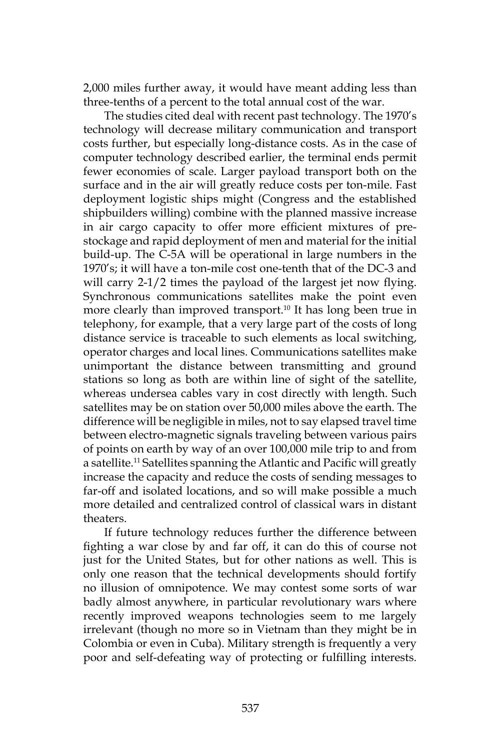2,000 miles further away, it would have meant adding less than three-tenths of a percent to the total annual cost of the war.

The studies cited deal with recent past technology. The 1970's technology will decrease military communication and transport costs further, but especially long-distance costs. As in the case of computer technology described earlier, the terminal ends permit fewer economies of scale. Larger payload transport both on the surface and in the air will greatly reduce costs per ton-mile. Fast deployment logistic ships might (Congress and the established shipbuilders willing) combine with the planned massive increase in air cargo capacity to offer more efficient mixtures of prestockage and rapid deployment of men and material for the initial build-up. The C-5A will be operational in large numbers in the 1970's; it will have a ton-mile cost one-tenth that of the DC-3 and will carry 2-1/2 times the payload of the largest jet now flying. Synchronous communications satellites make the point even more clearly than improved transport.<sup>10</sup> It has long been true in telephony, for example, that a very large part of the costs of long distance service is traceable to such elements as local switching, operator charges and local lines. Communications satellites make unimportant the distance between transmitting and ground stations so long as both are within line of sight of the satellite, whereas undersea cables vary in cost directly with length. Such satellites may be on station over 50,000 miles above the earth. The difference will be negligible in miles, not to say elapsed travel time between electro-magnetic signals traveling between various pairs of points on earth by way of an over 100,000 mile trip to and from a satellite.11 Satellites spanning the Atlantic and Pacific will greatly increase the capacity and reduce the costs of sending messages to far-off and isolated locations, and so will make possible a much more detailed and centralized control of classical wars in distant theaters.

If future technology reduces further the difference between fighting a war close by and far off, it can do this of course not just for the United States, but for other nations as well. This is only one reason that the technical developments should fortify no illusion of omnipotence. We may contest some sorts of war badly almost anywhere, in particular revolutionary wars where recently improved weapons technologies seem to me largely irrelevant (though no more so in Vietnam than they might be in Colombia or even in Cuba). Military strength is frequently a very poor and self-defeating way of protecting or fulfilling interests.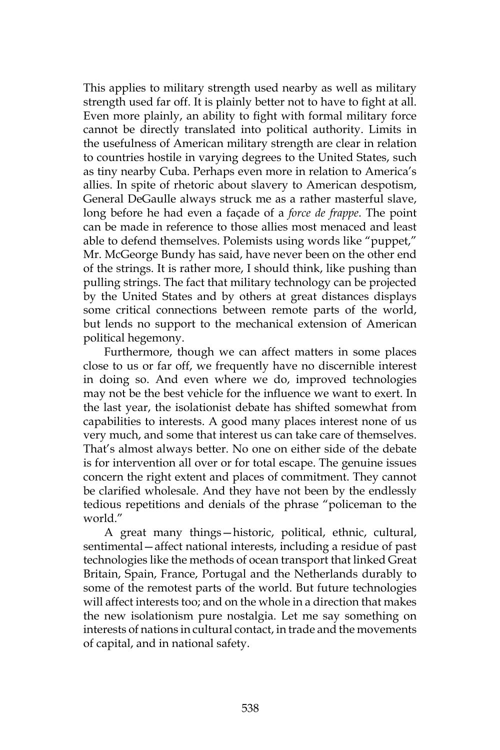This applies to military strength used nearby as well as military strength used far off. It is plainly better not to have to fight at all. Even more plainly, an ability to fight with formal military force cannot be directly translated into political authority. Limits in the usefulness of American military strength are clear in relation to countries hostile in varying degrees to the United States, such as tiny nearby Cuba. Perhaps even more in relation to America's allies. In spite of rhetoric about slavery to American despotism, General DeGaulle always struck me as a rather masterful slave, long before he had even a façade of a *force de frappe*. The point can be made in reference to those allies most menaced and least able to defend themselves. Polemists using words like "puppet," Mr. McGeorge Bundy has said, have never been on the other end of the strings. It is rather more, I should think, like pushing than pulling strings. The fact that military technology can be projected by the United States and by others at great distances displays some critical connections between remote parts of the world, but lends no support to the mechanical extension of American political hegemony.

Furthermore, though we can affect matters in some places close to us or far off, we frequently have no discernible interest in doing so. And even where we do, improved technologies may not be the best vehicle for the influence we want to exert. In the last year, the isolationist debate has shifted somewhat from capabilities to interests. A good many places interest none of us very much, and some that interest us can take care of themselves. That's almost always better. No one on either side of the debate is for intervention all over or for total escape. The genuine issues concern the right extent and places of commitment. They cannot be clarified wholesale. And they have not been by the endlessly tedious repetitions and denials of the phrase "policeman to the world."

A great many things—historic, political, ethnic, cultural, sentimental—affect national interests, including a residue of past technologies like the methods of ocean transport that linked Great Britain, Spain, France, Portugal and the Netherlands durably to some of the remotest parts of the world. But future technologies will affect interests too; and on the whole in a direction that makes the new isolationism pure nostalgia. Let me say something on interests of nations in cultural contact, in trade and the movements of capital, and in national safety.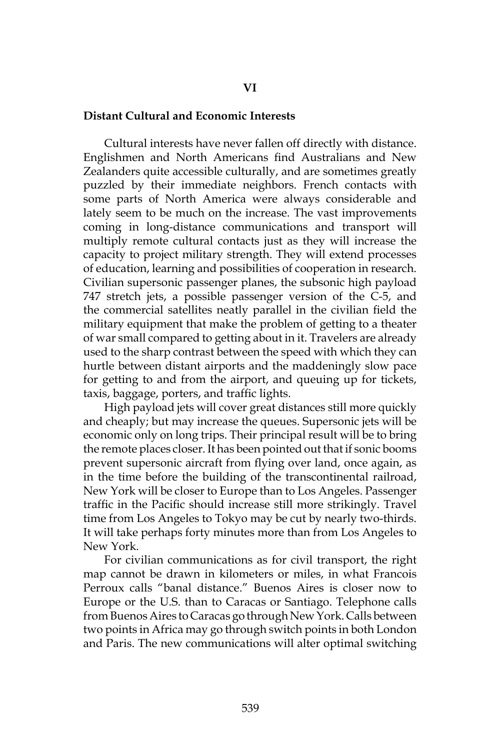#### **Distant Cultural and Economic Interests**

Cultural interests have never fallen off directly with distance. Englishmen and North Americans find Australians and New Zealanders quite accessible culturally, and are sometimes greatly puzzled by their immediate neighbors. French contacts with some parts of North America were always considerable and lately seem to be much on the increase. The vast improvements coming in long-distance communications and transport will multiply remote cultural contacts just as they will increase the capacity to project military strength. They will extend processes of education, learning and possibilities of cooperation in research. Civilian supersonic passenger planes, the subsonic high payload 747 stretch jets, a possible passenger version of the C-5, and the commercial satellites neatly parallel in the civilian field the military equipment that make the problem of getting to a theater of war small compared to getting about in it. Travelers are already used to the sharp contrast between the speed with which they can hurtle between distant airports and the maddeningly slow pace for getting to and from the airport, and queuing up for tickets, taxis, baggage, porters, and traffic lights.

High payload jets will cover great distances still more quickly and cheaply; but may increase the queues. Supersonic jets will be economic only on long trips. Their principal result will be to bring the remote places closer. It has been pointed out that if sonic booms prevent supersonic aircraft from flying over land, once again, as in the time before the building of the transcontinental railroad, New York will be closer to Europe than to Los Angeles. Passenger traffic in the Pacific should increase still more strikingly. Travel time from Los Angeles to Tokyo may be cut by nearly two-thirds. It will take perhaps forty minutes more than from Los Angeles to New York.

For civilian communications as for civil transport, the right map cannot be drawn in kilometers or miles, in what Francois Perroux calls "banal distance." Buenos Aires is closer now to Europe or the U.S. than to Caracas or Santiago. Telephone calls from Buenos Aires to Caracas go through New York. Calls between two points in Africa may go through switch points in both London and Paris. The new communications will alter optimal switching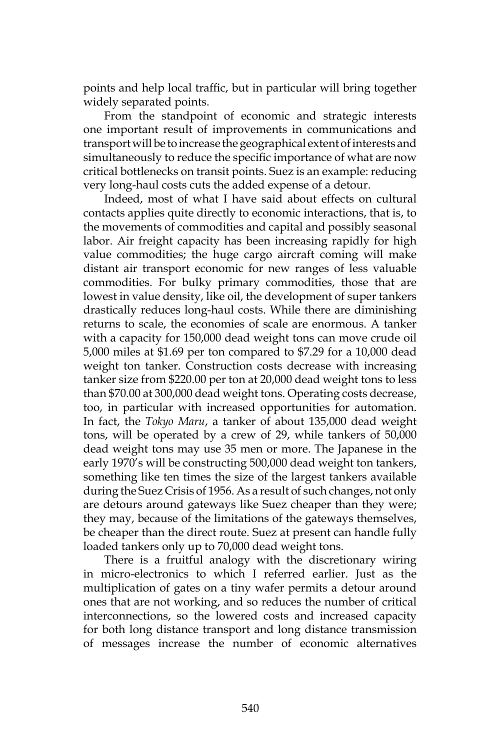points and help local traffic, but in particular will bring together widely separated points.

From the standpoint of economic and strategic interests one important result of improvements in communications and transport will be to increase the geographical extent of interests and simultaneously to reduce the specific importance of what are now critical bottlenecks on transit points. Suez is an example: reducing very long-haul costs cuts the added expense of a detour.

Indeed, most of what I have said about effects on cultural contacts applies quite directly to economic interactions, that is, to the movements of commodities and capital and possibly seasonal labor. Air freight capacity has been increasing rapidly for high value commodities; the huge cargo aircraft coming will make distant air transport economic for new ranges of less valuable commodities. For bulky primary commodities, those that are lowest in value density, like oil, the development of super tankers drastically reduces long-haul costs. While there are diminishing returns to scale, the economies of scale are enormous. A tanker with a capacity for 150,000 dead weight tons can move crude oil 5,000 miles at \$1.69 per ton compared to \$7.29 for a 10,000 dead weight ton tanker. Construction costs decrease with increasing tanker size from \$220.00 per ton at 20,000 dead weight tons to less than \$70.00 at 300,000 dead weight tons. Operating costs decrease, too, in particular with increased opportunities for automation. In fact, the *Tokyo Maru*, a tanker of about 135,000 dead weight tons, will be operated by a crew of 29, while tankers of 50,000 dead weight tons may use 35 men or more. The Japanese in the early 1970's will be constructing 500,000 dead weight ton tankers, something like ten times the size of the largest tankers available during the Suez Crisis of 1956. As a result of such changes, not only are detours around gateways like Suez cheaper than they were; they may, because of the limitations of the gateways themselves, be cheaper than the direct route. Suez at present can handle fully loaded tankers only up to 70,000 dead weight tons.

There is a fruitful analogy with the discretionary wiring in micro-electronics to which I referred earlier. Just as the multiplication of gates on a tiny wafer permits a detour around ones that are not working, and so reduces the number of critical interconnections, so the lowered costs and increased capacity for both long distance transport and long distance transmission of messages increase the number of economic alternatives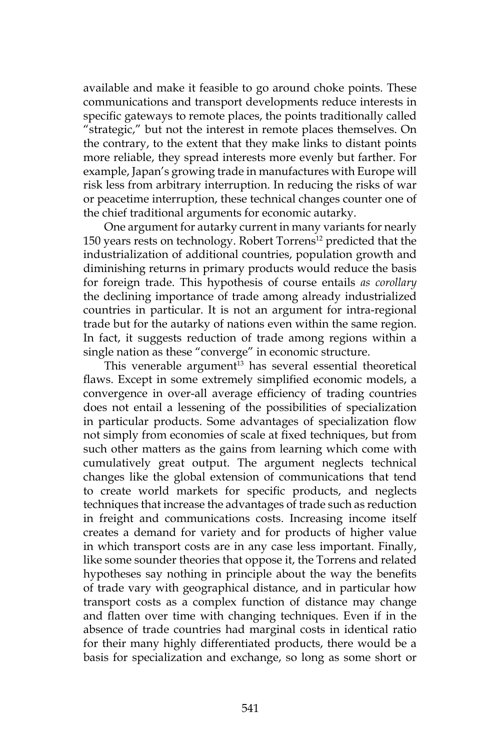available and make it feasible to go around choke points. These communications and transport developments reduce interests in specific gateways to remote places, the points traditionally called "strategic," but not the interest in remote places themselves. On the contrary, to the extent that they make links to distant points more reliable, they spread interests more evenly but farther. For example, Japan's growing trade in manufactures with Europe will risk less from arbitrary interruption. In reducing the risks of war or peacetime interruption, these technical changes counter one of the chief traditional arguments for economic autarky.

One argument for autarky current in many variants for nearly 150 years rests on technology. Robert Torrens<sup>12</sup> predicted that the industrialization of additional countries, population growth and diminishing returns in primary products would reduce the basis for foreign trade. This hypothesis of course entails *as corollary* the declining importance of trade among already industrialized countries in particular. It is not an argument for intra-regional trade but for the autarky of nations even within the same region. In fact, it suggests reduction of trade among regions within a single nation as these "converge" in economic structure.

This venerable argument<sup>13</sup> has several essential theoretical flaws. Except in some extremely simplified economic models, a convergence in over-all average efficiency of trading countries does not entail a lessening of the possibilities of specialization in particular products. Some advantages of specialization flow not simply from economies of scale at fixed techniques, but from such other matters as the gains from learning which come with cumulatively great output. The argument neglects technical changes like the global extension of communications that tend to create world markets for specific products, and neglects techniques that increase the advantages of trade such as reduction in freight and communications costs. Increasing income itself creates a demand for variety and for products of higher value in which transport costs are in any case less important. Finally, like some sounder theories that oppose it, the Torrens and related hypotheses say nothing in principle about the way the benefits of trade vary with geographical distance, and in particular how transport costs as a complex function of distance may change and flatten over time with changing techniques. Even if in the absence of trade countries had marginal costs in identical ratio for their many highly differentiated products, there would be a basis for specialization and exchange, so long as some short or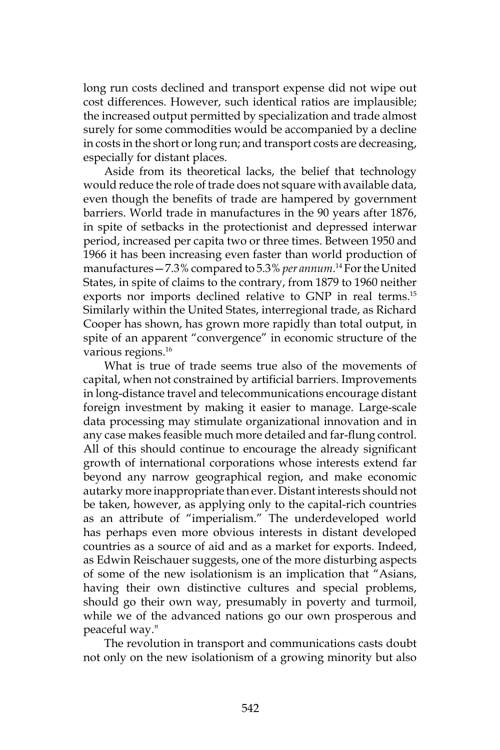long run costs declined and transport expense did not wipe out cost differences. However, such identical ratios are implausible; the increased output permitted by specialization and trade almost surely for some commodities would be accompanied by a decline in costs in the short or long run; and transport costs are decreasing, especially for distant places.

Aside from its theoretical lacks, the belief that technology would reduce the role of trade does not square with available data, even though the benefits of trade are hampered by government barriers. World trade in manufactures in the 90 years after 1876, in spite of setbacks in the protectionist and depressed interwar period, increased per capita two or three times. Between 1950 and 1966 it has been increasing even faster than world production of manufactures—7.3% compared to 5.3% *per annum*. 14 For the United States, in spite of claims to the contrary, from 1879 to 1960 neither exports nor imports declined relative to GNP in real terms.<sup>15</sup> Similarly within the United States, interregional trade, as Richard Cooper has shown, has grown more rapidly than total output, in spite of an apparent "convergence" in economic structure of the various regions.<sup>16</sup>

What is true of trade seems true also of the movements of capital, when not constrained by artificial barriers. Improvements in long-distance travel and telecommunications encourage distant foreign investment by making it easier to manage. Large-scale data processing may stimulate organizational innovation and in any case makes feasible much more detailed and far-flung control. All of this should continue to encourage the already significant growth of international corporations whose interests extend far beyond any narrow geographical region, and make economic autarky more inappropriate than ever. Distant interests should not be taken, however, as applying only to the capital-rich countries as an attribute of "imperialism." The underdeveloped world has perhaps even more obvious interests in distant developed countries as a source of aid and as a market for exports. Indeed, as Edwin Reischauer suggests, one of the more disturbing aspects of some of the new isolationism is an implication that "Asians, having their own distinctive cultures and special problems, should go their own way, presumably in poverty and turmoil, while we of the advanced nations go our own prosperous and peaceful way."

The revolution in transport and communications casts doubt not only on the new isolationism of a growing minority but also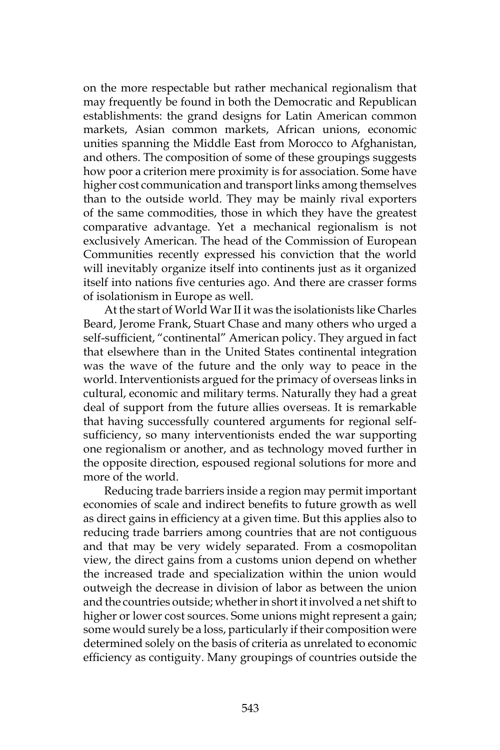on the more respectable but rather mechanical regionalism that may frequently be found in both the Democratic and Republican establishments: the grand designs for Latin American common markets, Asian common markets, African unions, economic unities spanning the Middle East from Morocco to Afghanistan, and others. The composition of some of these groupings suggests how poor a criterion mere proximity is for association. Some have higher cost communication and transport links among themselves than to the outside world. They may be mainly rival exporters of the same commodities, those in which they have the greatest comparative advantage. Yet a mechanical regionalism is not exclusively American. The head of the Commission of European Communities recently expressed his conviction that the world will inevitably organize itself into continents just as it organized itself into nations five centuries ago. And there are crasser forms of isolationism in Europe as well.

At the start of World War II it was the isolationists like Charles Beard, Jerome Frank, Stuart Chase and many others who urged a self-sufficient, "continental" American policy. They argued in fact that elsewhere than in the United States continental integration was the wave of the future and the only way to peace in the world. Interventionists argued for the primacy of overseas links in cultural, economic and military terms. Naturally they had a great deal of support from the future allies overseas. It is remarkable that having successfully countered arguments for regional selfsufficiency, so many interventionists ended the war supporting one regionalism or another, and as technology moved further in the opposite direction, espoused regional solutions for more and more of the world.

Reducing trade barriers inside a region may permit important economies of scale and indirect benefits to future growth as well as direct gains in efficiency at a given time. But this applies also to reducing trade barriers among countries that are not contiguous and that may be very widely separated. From a cosmopolitan view, the direct gains from a customs union depend on whether the increased trade and specialization within the union would outweigh the decrease in division of labor as between the union and the countries outside; whether in short it involved a net shift to higher or lower cost sources. Some unions might represent a gain; some would surely be a loss, particularly if their composition were determined solely on the basis of criteria as unrelated to economic efficiency as contiguity. Many groupings of countries outside the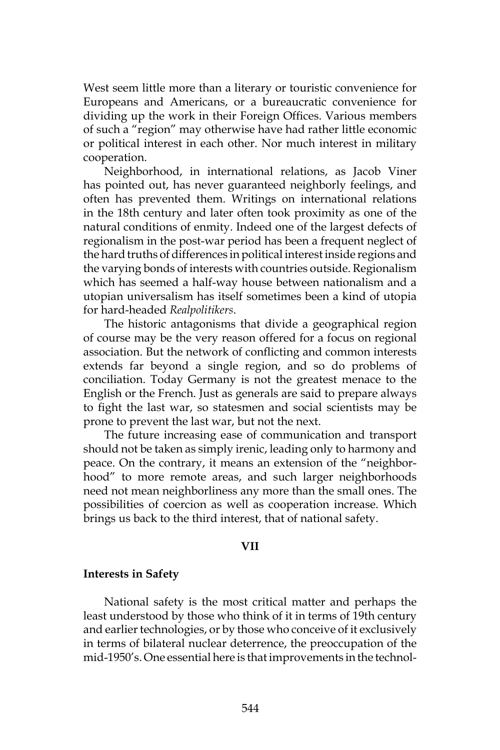West seem little more than a literary or touristic convenience for Europeans and Americans, or a bureaucratic convenience for dividing up the work in their Foreign Offices. Various members of such a "region" may otherwise have had rather little economic or political interest in each other. Nor much interest in military cooperation.

Neighborhood, in international relations, as Jacob Viner has pointed out, has never guaranteed neighborly feelings, and often has prevented them. Writings on international relations in the 18th century and later often took proximity as one of the natural conditions of enmity. Indeed one of the largest defects of regionalism in the post-war period has been a frequent neglect of the hard truths of differences in political interest inside regions and the varying bonds of interests with countries outside. Regionalism which has seemed a half-way house between nationalism and a utopian universalism has itself sometimes been a kind of utopia for hard-headed *Realpolitikers*.

The historic antagonisms that divide a geographical region of course may be the very reason offered for a focus on regional association. But the network of conflicting and common interests extends far beyond a single region, and so do problems of conciliation. Today Germany is not the greatest menace to the English or the French. Just as generals are said to prepare always to fight the last war, so statesmen and social scientists may be prone to prevent the last war, but not the next.

The future increasing ease of communication and transport should not be taken as simply irenic, leading only to harmony and peace. On the contrary, it means an extension of the "neighborhood" to more remote areas, and such larger neighborhoods need not mean neighborliness any more than the small ones. The possibilities of coercion as well as cooperation increase. Which brings us back to the third interest, that of national safety.

## **VII**

## **Interests in Safety**

National safety is the most critical matter and perhaps the least understood by those who think of it in terms of 19th century and earlier technologies, or by those who conceive of it exclusively in terms of bilateral nuclear deterrence, the preoccupation of the mid-1950's. One essential here is that improvements in the technol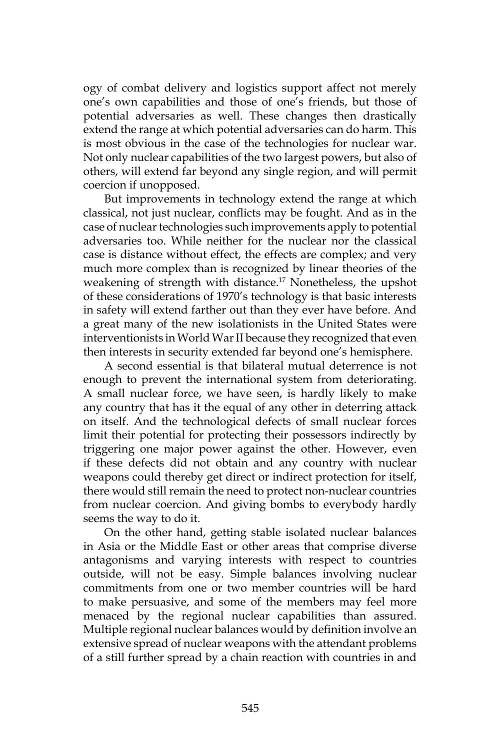ogy of combat delivery and logistics support affect not merely one's own capabilities and those of one's friends, but those of potential adversaries as well. These changes then drastically extend the range at which potential adversaries can do harm. This is most obvious in the case of the technologies for nuclear war. Not only nuclear capabilities of the two largest powers, but also of others, will extend far beyond any single region, and will permit coercion if unopposed.

But improvements in technology extend the range at which classical, not just nuclear, conflicts may be fought. And as in the case of nuclear technologies such improvements apply to potential adversaries too. While neither for the nuclear nor the classical case is distance without effect, the effects are complex; and very much more complex than is recognized by linear theories of the weakening of strength with distance.<sup>17</sup> Nonetheless, the upshot of these considerations of 1970's technology is that basic interests in safety will extend farther out than they ever have before. And a great many of the new isolationists in the United States were interventionists in World War II because they recognized that even then interests in security extended far beyond one's hemisphere.

A second essential is that bilateral mutual deterrence is not enough to prevent the international system from deteriorating. A small nuclear force, we have seen, is hardly likely to make any country that has it the equal of any other in deterring attack on itself. And the technological defects of small nuclear forces limit their potential for protecting their possessors indirectly by triggering one major power against the other. However, even if these defects did not obtain and any country with nuclear weapons could thereby get direct or indirect protection for itself, there would still remain the need to protect non-nuclear countries from nuclear coercion. And giving bombs to everybody hardly seems the way to do it.

On the other hand, getting stable isolated nuclear balances in Asia or the Middle East or other areas that comprise diverse antagonisms and varying interests with respect to countries outside, will not be easy. Simple balances involving nuclear commitments from one or two member countries will be hard to make persuasive, and some of the members may feel more menaced by the regional nuclear capabilities than assured. Multiple regional nuclear balances would by definition involve an extensive spread of nuclear weapons with the attendant problems of a still further spread by a chain reaction with countries in and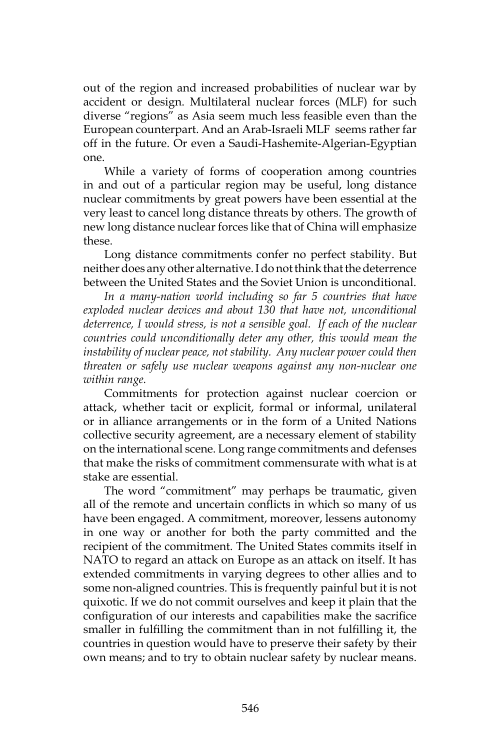out of the region and increased probabilities of nuclear war by accident or design. Multilateral nuclear forces (MLF) for such diverse "regions" as Asia seem much less feasible even than the European counterpart. And an Arab-Israeli MLF seems rather far off in the future. Or even a Saudi-Hashemite-Algerian-Egyptian one.

While a variety of forms of cooperation among countries in and out of a particular region may be useful, long distance nuclear commitments by great powers have been essential at the very least to cancel long distance threats by others. The growth of new long distance nuclear forces like that of China will emphasize these.

Long distance commitments confer no perfect stability. But neither does any other alternative. I do not think that the deterrence between the United States and the Soviet Union is unconditional.

*In a many-nation world including so far 5 countries that have exploded nuclear devices and about 130 that have not, unconditional*  deterrence, I would stress, is not a sensible goal. If each of the nuclear *countries could unconditionally deter any other, this would mean the*  instability of nuclear peace, not stability. Any nuclear power could then *threaten or safely use nuclear weapons against any non-nuclear one within range.*

Commitments for protection against nuclear coercion or attack, whether tacit or explicit, formal or informal, unilateral or in alliance arrangements or in the form of a United Nations collective security agreement, are a necessary element of stability on the international scene. Long range commitments and defenses that make the risks of commitment commensurate with what is at stake are essential.

The word "commitment" may perhaps be traumatic, given all of the remote and uncertain conflicts in which so many of us have been engaged. A commitment, moreover, lessens autonomy in one way or another for both the party committed and the recipient of the commitment. The United States commits itself in NATO to regard an attack on Europe as an attack on itself. It has extended commitments in varying degrees to other allies and to some non-aligned countries. This is frequently painful but it is not quixotic. If we do not commit ourselves and keep it plain that the configuration of our interests and capabilities make the sacrifice smaller in fulfilling the commitment than in not fulfilling it, the countries in question would have to preserve their safety by their own means; and to try to obtain nuclear safety by nuclear means.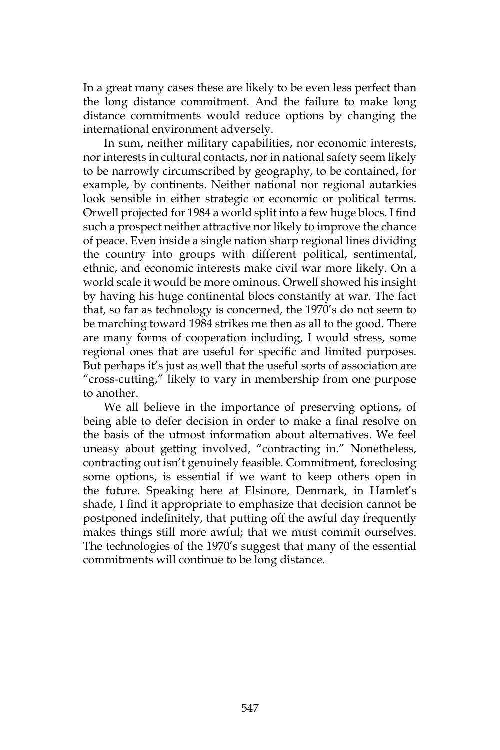In a great many cases these are likely to be even less perfect than the long distance commitment. And the failure to make long distance commitments would reduce options by changing the international environment adversely.

In sum, neither military capabilities, nor economic interests, nor interests in cultural contacts, nor in national safety seem likely to be narrowly circumscribed by geography, to be contained, for example, by continents. Neither national nor regional autarkies look sensible in either strategic or economic or political terms. Orwell projected for 1984 a world split into a few huge blocs. I find such a prospect neither attractive nor likely to improve the chance of peace. Even inside a single nation sharp regional lines dividing the country into groups with different political, sentimental, ethnic, and economic interests make civil war more likely. On a world scale it would be more ominous. Orwell showed his insight by having his huge continental blocs constantly at war. The fact that, so far as technology is concerned, the 1970's do not seem to be marching toward 1984 strikes me then as all to the good. There are many forms of cooperation including, I would stress, some regional ones that are useful for specific and limited purposes. But perhaps it's just as well that the useful sorts of association are "cross-cutting," likely to vary in membership from one purpose to another.

We all believe in the importance of preserving options, of being able to defer decision in order to make a final resolve on the basis of the utmost information about alternatives. We feel uneasy about getting involved, "contracting in." Nonetheless, contracting out isn't genuinely feasible. Commitment, foreclosing some options, is essential if we want to keep others open in the future. Speaking here at Elsinore, Denmark, in Hamlet's shade, I find it appropriate to emphasize that decision cannot be postponed indefinitely, that putting off the awful day frequently makes things still more awful; that we must commit ourselves. The technologies of the 1970's suggest that many of the essential commitments will continue to be long distance.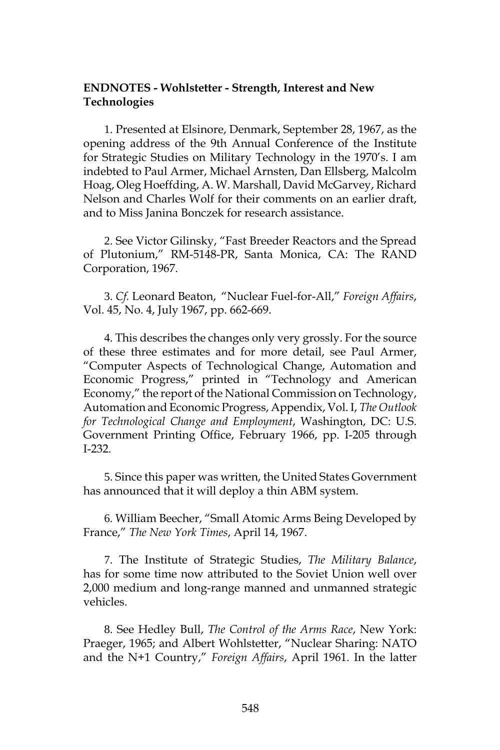# **ENDNOTES - Wohlstetter - Strength, Interest and New Technologies**

1. Presented at Elsinore, Denmark, September 28, 1967, as the opening address of the 9th Annual Conference of the Institute for Strategic Studies on Military Technology in the 1970's. I am indebted to Paul Armer, Michael Arnsten, Dan Ellsberg, Malcolm Hoag, Oleg Hoeffding, A. W. Marshall, David McGarvey, Richard Nelson and Charles Wolf for their comments on an earlier draft, and to Miss Janina Bonczek for research assistance.

2. See Victor Gilinsky, "Fast Breeder Reactors and the Spread of Plutonium," RM-5148-PR, Santa Monica, CA: The RAND Corporation, 1967.

3. *Cf.* Leonard Beaton, "Nuclear Fuel-for-All," *Foreign Affairs*, Vol. 45, No. 4, July 1967, pp. 662-669.

4. This describes the changes only very grossly. For the source of these three estimates and for more detail, see Paul Armer, "Computer Aspects of Technological Change, Automation and Economic Progress," printed in "Technology and American Economy," the report of the National Commission on Technology, Automation and Economic Progress, Appendix, Vol. I, *The Outlook for Technological Change and Employment*, Washington, DC: U.S. Government Printing Office, February 1966, pp. I-205 through I-232.

5. Since this paper was written, the United States Government has announced that it will deploy a thin ABM system.

6. William Beecher, "Small Atomic Arms Being Developed by France," *The New York Times*, April 14, 1967.

7. The Institute of Strategic Studies, *The Military Balance*, has for some time now attributed to the Soviet Union well over 2,000 medium and long-range manned and unmanned strategic vehicles.

8. See Hedley Bull, *The Control of the Arms Race*, New York: Praeger, 1965; and Albert Wohlstetter, "Nuclear Sharing: NATO and the N+1 Country," *Foreign Affairs*, April 1961. In the latter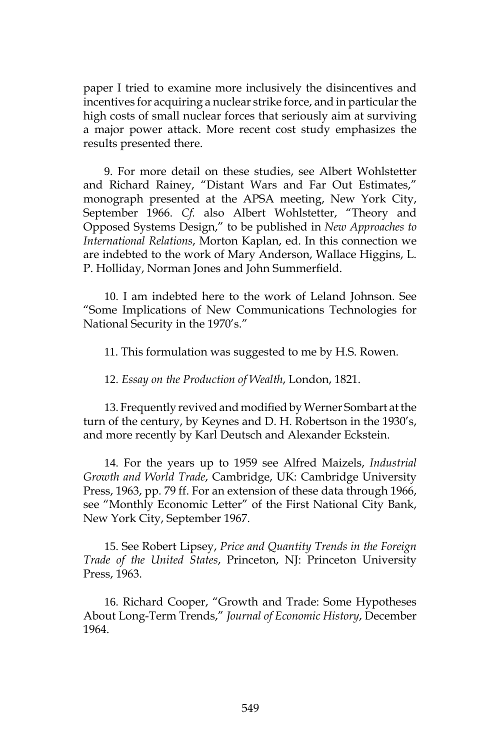paper I tried to examine more inclusively the disincentives and incentives for acquiring a nuclear strike force, and in particular the high costs of small nuclear forces that seriously aim at surviving a major power attack. More recent cost study emphasizes the results presented there.

9. For more detail on these studies, see Albert Wohlstetter and Richard Rainey, "Distant Wars and Far Out Estimates," monograph presented at the APSA meeting, New York City, September 1966. *Cf.* also Albert Wohlstetter, "Theory and Opposed Systems Design," to be published in *New Approaches to International Relations*, Morton Kaplan, ed. In this connection we are indebted to the work of Mary Anderson, Wallace Higgins, L. P. Holliday, Norman Jones and John Summerfield.

10. I am indebted here to the work of Leland Johnson. See "Some Implications of New Communications Technologies for National Security in the 1970's."

11. This formulation was suggested to me by H.S. Rowen.

12. *Essay on the Production of Wealth*, London, 1821.

13. Frequently revived and modified by Werner Sombart at the turn of the century, by Keynes and D. H. Robertson in the 1930's, and more recently by Karl Deutsch and Alexander Eckstein.

14. For the years up to 1959 see Alfred Maizels, *Industrial Growth and World Trade*, Cambridge, UK: Cambridge University Press, 1963, pp. 79 ff. For an extension of these data through 1966, see "Monthly Economic Letter" of the First National City Bank, New York City, September 1967.

15. See Robert Lipsey, *Price and Quantity Trends in the Foreign Trade of the United States*, Princeton, NJ: Princeton University Press, 1963.

16. Richard Cooper, "Growth and Trade: Some Hypotheses About Long-Term Trends," *Journal of Economic History*, December 1964.